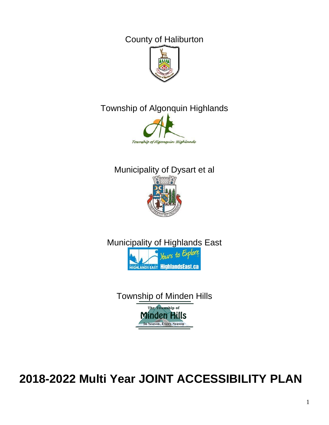County of Haliburton



# Township of Algonquin Highlands



# Municipality of Dysart et al



Municipality of Highlands East Yours to Exp **HIGHLANDS EAST HIGhlandsEast.ca** 

Township of Minden Hills The Township of **Minden Hills** In Season, Every Season

**2018-2022 Multi Year JOINT ACCESSIBILITY PLAN**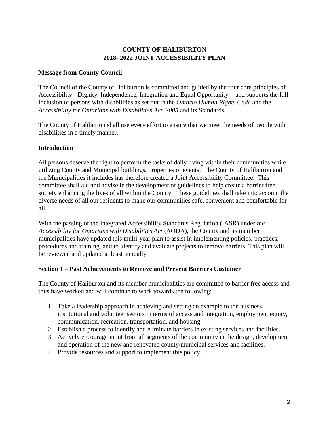## **COUNTY OF HALIBURTON 2018- 2022 JOINT ACCESSIBILITY PLAN**

## **Message from County Council**

The Council of the County of Haliburton is committed and guided by the four core principles of Accessibility - Dignity, Independence, Integration and Equal Opportunity - and supports the full inclusion of persons with disabilities as set out in the *Ontario Human Rights Code* and the *Accessibility for Ontarians with Disabilities Act, 2005* and its Standards*.*

The County of Haliburton shall use every effort to ensure that we meet the needs of people with disabilities in a timely manner.

## **Introduction**

All persons deserve the right to perform the tasks of daily living within their communities while utilizing County and Municipal buildings, properties or events. The County of Haliburton and the Municipalities it includes has therefore created a Joint Accessibility Committee. This committee shall aid and advise in the development of guidelines to help create a barrier free society enhancing the lives of all within the County. These guidelines shall take into account the diverse needs of all our residents to make our communities safe, convenient and comfortable for all.

With the passing of the Integrated Accessibility Standards Regulation (IASR) under *the Accessibility for Ontarians with Disabilities Act* (AODA), the County and its member municipalities have updated this multi-year plan to assist in implementing policies, practices, procedures and training, and to identify and evaluate projects to remove barriers. This plan will be reviewed and updated at least annually.

## **Section 1 – Past Achievements to Remove and Prevent Barriers Customer**

The County of Haliburton and its member municipalities are committed to barrier free access and thus have worked and will continue to work towards the following:

- 1. Take a leadership approach in achieving and setting an example to the business, institutional and volunteer sectors in terms of access and integration, employment equity, communication, recreation, transportation, and housing.
- 2. Establish a process to identify and eliminate barriers in existing services and facilities.
- 3. Actively encourage input from all segments of the community in the design, development and operation of the new and renovated county/municipal services and facilities.
- 4. Provide resources and support to implement this policy.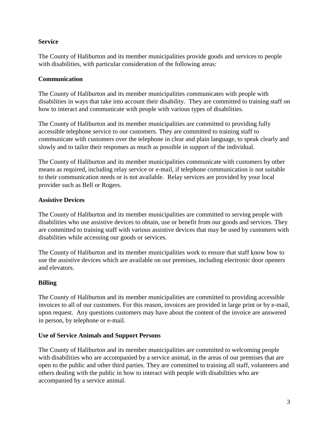## **Service**

The County of Haliburton and its member municipalities provide goods and services to people with disabilities, with particular consideration of the following areas:

## **Communication**

The County of Haliburton and its member municipalities communicates with people with disabilities in ways that take into account their disability. They are committed to training staff on how to interact and communicate with people with various types of disabilities.

The County of Haliburton and its member municipalities are committed to providing fully accessible telephone service to our customers. They are committed to training staff to communicate with customers over the telephone in clear and plain language, to speak clearly and slowly and to tailor their responses as much as possible in support of the individual.

The County of Haliburton and its member municipalities communicate with customers by other means as required, including relay service or e-mail, if telephone communication is not suitable to their communication needs or is not available. Relay services are provided by your local provider such as Bell or Rogers.

## **Assistive Devices**

The County of Haliburton and its member municipalities are committed to serving people with disabilities who use assistive devices to obtain, use or benefit from our goods and services. They are committed to training staff with various assistive devices that may be used by customers with disabilities while accessing our goods or services.

The County of Haliburton and its member municipalities work to ensure that staff know how to use the assistive devices which are available on our premises, including electronic door openers and elevators.

## **Billing**

The County of Haliburton and its member municipalities are committed to providing accessible invoices to all of our customers. For this reason, invoices are provided in large print or by e-mail, upon request. Any questions customers may have about the content of the invoice are answered in person, by telephone or e-mail.

## **Use of Service Animals and Support Persons**

The County of Haliburton and its member municipalities are committed to welcoming people with disabilities who are accompanied by a service animal, in the areas of our premises that are open to the public and other third parties. They are committed to training all staff, volunteers and others dealing with the public in how to interact with people with disabilities who are accompanied by a service animal.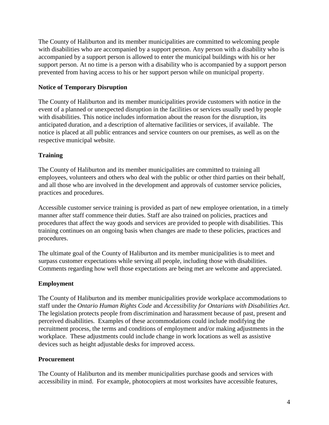The County of Haliburton and its member municipalities are committed to welcoming people with disabilities who are accompanied by a support person. Any person with a disability who is accompanied by a support person is allowed to enter the municipal buildings with his or her support person. At no time is a person with a disability who is accompanied by a support person prevented from having access to his or her support person while on municipal property.

## **Notice of Temporary Disruption**

The County of Haliburton and its member municipalities provide customers with notice in the event of a planned or unexpected disruption in the facilities or services usually used by people with disabilities. This notice includes information about the reason for the disruption, its anticipated duration, and a description of alternative facilities or services, if available. The notice is placed at all public entrances and service counters on our premises, as well as on the respective municipal website.

## **Training**

The County of Haliburton and its member municipalities are committed to training all employees, volunteers and others who deal with the public or other third parties on their behalf, and all those who are involved in the development and approvals of customer service policies, practices and procedures.

Accessible customer service training is provided as part of new employee orientation, in a timely manner after staff commence their duties. Staff are also trained on policies, practices and procedures that affect the way goods and services are provided to people with disabilities. This training continues on an ongoing basis when changes are made to these policies, practices and procedures.

The ultimate goal of the County of Haliburton and its member municipalities is to meet and surpass customer expectations while serving all people, including those with disabilities. Comments regarding how well those expectations are being met are welcome and appreciated.

## **Employment**

The County of Haliburton and its member municipalities provide workplace accommodations to staff under the *Ontario Human Rights Code* and *Accessibility for Ontarians with Disabilities Act*. The legislation protects people from discrimination and harassment because of past, present and perceived disabilities. Examples of these accommodations could include modifying the recruitment process, the terms and conditions of employment and/or making adjustments in the workplace. These adjustments could include change in work locations as well as assistive devices such as height adjustable desks for improved access.

## **Procurement**

The County of Haliburton and its member municipalities purchase goods and services with accessibility in mind. For example, photocopiers at most worksites have accessible features,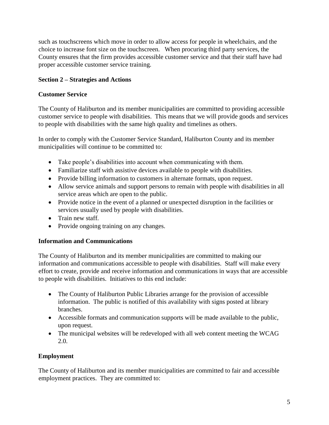such as touchscreens which move in order to allow access for people in wheelchairs, and the choice to increase font size on the touchscreen. When procuring third party services, the County ensures that the firm provides accessible customer service and that their staff have had proper accessible customer service training.

## **Section 2 – Strategies and Actions**

#### **Customer Service**

The County of Haliburton and its member municipalities are committed to providing accessible customer service to people with disabilities. This means that we will provide goods and services to people with disabilities with the same high quality and timelines as others.

In order to comply with the Customer Service Standard, Haliburton County and its member municipalities will continue to be committed to:

- Take people's disabilities into account when communicating with them.
- Familiarize staff with assistive devices available to people with disabilities.
- Provide billing information to customers in alternate formats, upon request.
- Allow service animals and support persons to remain with people with disabilities in all service areas which are open to the public.
- Provide notice in the event of a planned or unexpected disruption in the facilities or services usually used by people with disabilities.
- Train new staff.
- Provide ongoing training on any changes.

## **Information and Communications**

The County of Haliburton and its member municipalities are committed to making our information and communications accessible to people with disabilities. Staff will make every effort to create, provide and receive information and communications in ways that are accessible to people with disabilities. Initiatives to this end include:

- The County of Haliburton Public Libraries arrange for the provision of accessible information. The public is notified of this availability with signs posted at library branches.
- Accessible formats and communication supports will be made available to the public, upon request.
- The municipal websites will be redeveloped with all web content meeting the WCAG 2.0.

## **Employment**

The County of Haliburton and its member municipalities are committed to fair and accessible employment practices. They are committed to: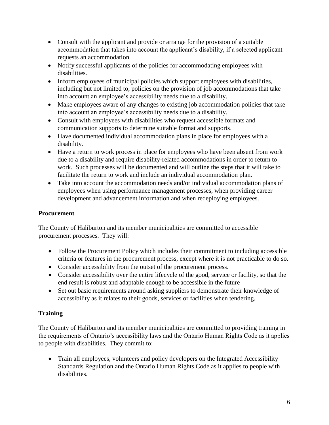- Consult with the applicant and provide or arrange for the provision of a suitable accommodation that takes into account the applicant's disability, if a selected applicant requests an accommodation.
- Notify successful applicants of the policies for accommodating employees with disabilities.
- Inform employees of municipal policies which support employees with disabilities, including but not limited to, policies on the provision of job accommodations that take into account an employee's accessibility needs due to a disability.
- Make employees aware of any changes to existing job accommodation policies that take into account an employee's accessibility needs due to a disability.
- Consult with employees with disabilities who request accessible formats and communication supports to determine suitable format and supports.
- Have documented individual accommodation plans in place for employees with a disability.
- Have a return to work process in place for employees who have been absent from work due to a disability and require disability-related accommodations in order to return to work. Such processes will be documented and will outline the steps that it will take to facilitate the return to work and include an individual accommodation plan.
- Take into account the accommodation needs and/or individual accommodation plans of employees when using performance management processes, when providing career development and advancement information and when redeploying employees.

## **Procurement**

The County of Haliburton and its member municipalities are committed to accessible procurement processes. They will:

- Follow the Procurement Policy which includes their commitment to including accessible criteria or features in the procurement process, except where it is not practicable to do so.
- Consider accessibility from the outset of the procurement process.
- Consider accessibility over the entire lifecycle of the good, service or facility, so that the end result is robust and adaptable enough to be accessible in the future
- Set out basic requirements around asking suppliers to demonstrate their knowledge of accessibility as it relates to their goods, services or facilities when tendering.

# **Training**

The County of Haliburton and its member municipalities are committed to providing training in the requirements of Ontario's accessibility laws and the Ontario Human Rights Code as it applies to people with disabilities. They commit to:

• Train all employees, volunteers and policy developers on the Integrated Accessibility Standards Regulation and the Ontario Human Rights Code as it applies to people with disabilities.